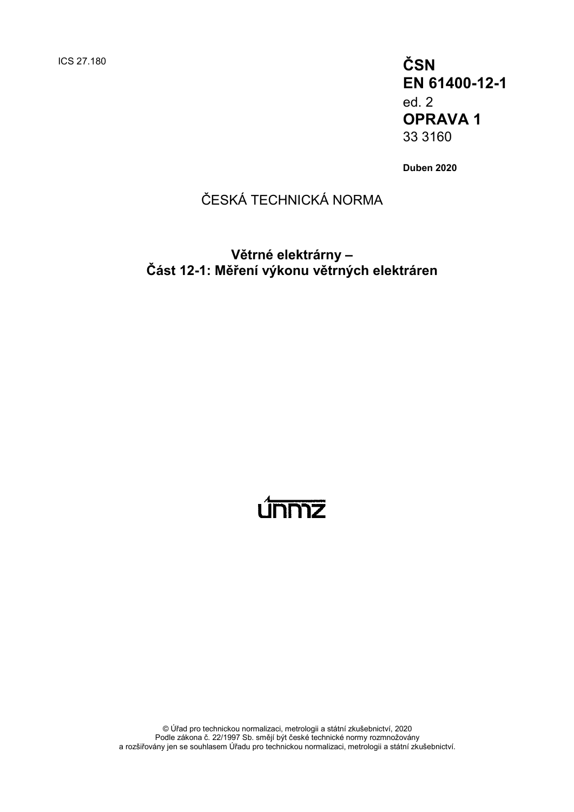ICS 27.180 **ČSN EN 61400-12-1**  ed. 2 **OPRAVA 1** 33 3160

**Duben 2020**

## ČESKÁ TECHNICKÁ NORMA

### **Větrné elektrárny – Část 12-1: Měření výkonu větrných elektráren**

# <u>únniz</u>

© Úřad pro technickou normalizaci, metrologii a státní zkušebnictví, 2020 Podle zákona č. 22/1997 Sb. smějí být české technické normy rozmnožovány a rozšiřovány jen se souhlasem Úřadu pro technickou normalizaci, metrologii a státní zkušebnictví.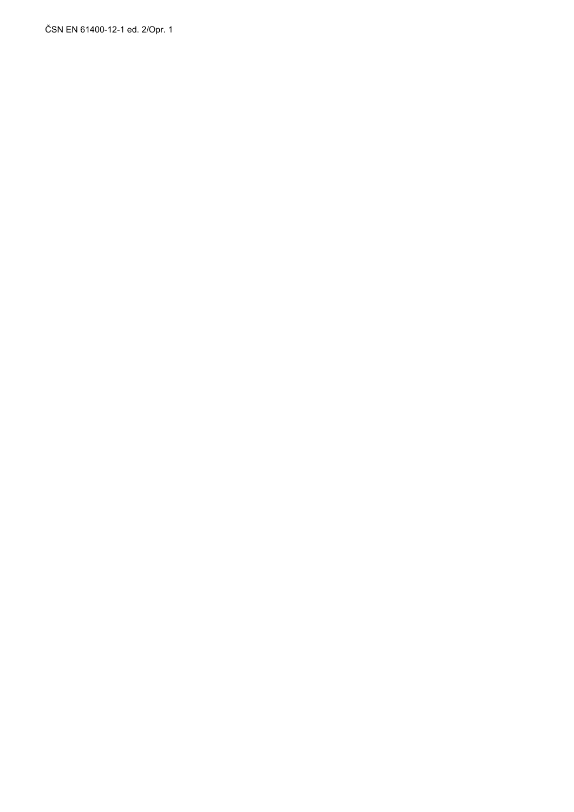ČSN EN 61400-12-1 ed. 2/Opr. 1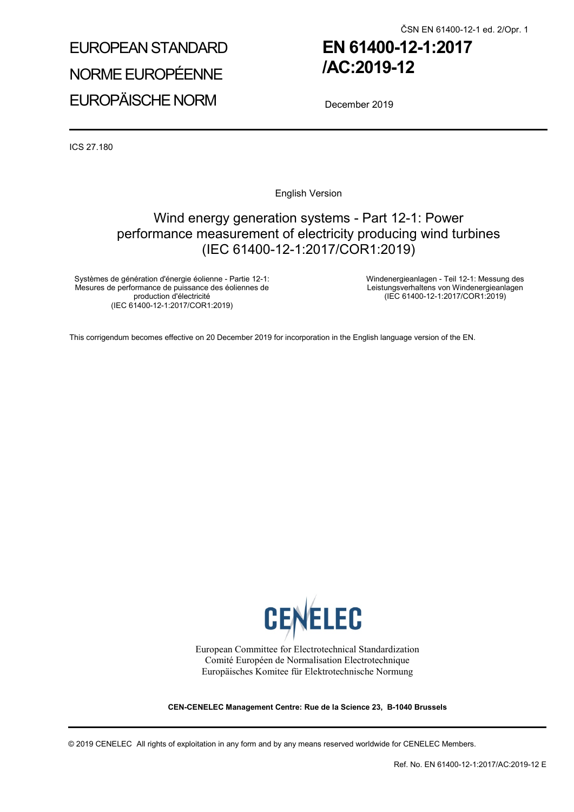# EUROPEAN STANDARD NORME EUROPÉENNE EUROPÄISCHE NORM

# **EN 61400-12-1:2017 /AC:2019-12**

December 2019

ICS 27.180

English Version

### Wind energy generation systems - Part 12-1: Power performance measurement of electricity producing wind turbines (IEC 61400-12-1:2017/COR1:2019)

Systèmes de génération d'énergie éolienne - Partie 12-1: Mesures de performance de puissance des éoliennes de production d'électricité (IEC 61400-12-1:2017/COR1:2019)

Windenergieanlagen - Teil 12-1: Messung des Leistungsverhaltens von Windenergieanlagen (IEC 61400-12-1:2017/COR1:2019)

This corrigendum becomes effective on 20 December 2019 for incorporation in the English language version of the EN.



European Committee for Electrotechnical Standardization Comité Européen de Normalisation Electrotechnique Europäisches Komitee für Elektrotechnische Normung

**CEN-CENELEC Management Centre: Rue de la Science 23, B-1040 Brussels**

© 2019 CENELEC All rights of exploitation in any form and by any means reserved worldwide for CENELEC Members.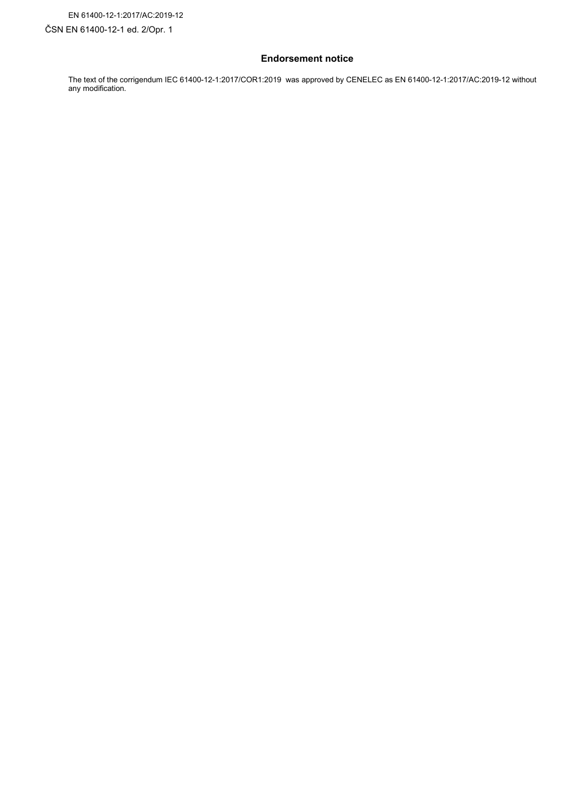EN 61400-12-1:2017/AC:2019-12

ČSN EN 61400-12-1 ed. 2/Opr. 1

#### **Endorsement notice**

The text of the corrigendum IEC 61400-12-1:2017/COR1:2019 was approved by CENELEC as EN 61400-12-1:2017/AC:2019-12 without any modification.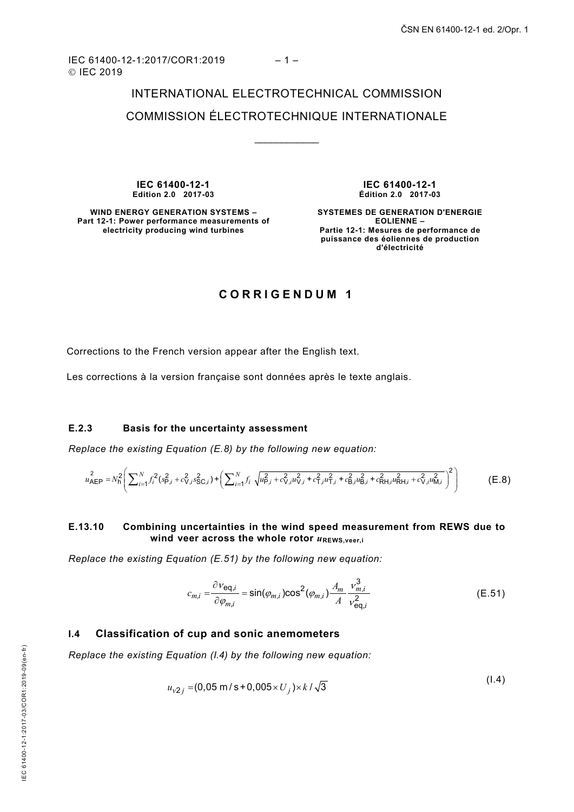IEC 61400-12-1:2017/COR1:2019 – 1 – © IEC 2019

# INTERNATIONAL ELECTROTECHNICAL COMMISSION COMMISSION ÉLECTROTECHNIQUE INTERNATIONALE

\_\_\_\_\_\_\_\_\_\_\_\_

**IEC 61400-12-1 Edition 2.0 2017-03**

**WIND ENERGY GENERATION SYSTEMS – Part 12-1: Power performance measurements of electricity producing wind turbines** 

**IEC 61400-12-1 Édition 2.0 2017-03**

**SYSTEMES DE GENERATION D'ENERGIE EOLIENNE – Partie 12-1: Mesures de performance de puissance des éoliennes de production d'électricité** 

### **CORRIGENDUM 1**

Corrections to the French version appear after the English text.

Les corrections à la version française sont données après le texte anglais.

#### **E.2.3 Basis for the uncertainty assessment**

*Replace the existing Equation (E.8) by the following new equation:*

$$
u_{\text{AEP}}^2 = N_{\text{h}}^2 \left( \sum_{i=1}^N f_i^2 (s_{\text{P},i}^2 + c_{\text{V},i}^2 s_{\text{C},i}^2) + \left( \sum_{i=1}^N f_i \sqrt{u_{\text{P},i}^2 + c_{\text{V},i}^2 u_{\text{V},i}^2 + c_{\text{T},i}^2 u_{\text{T},i}^2 + c_{\text{B},i}^2 u_{\text{B},i}^2 + c_{\text{RH},i}^2 u_{\text{RH},i}^2 + c_{\text{V},i}^2 u_{\text{M},i}^2 \right)^2 \right)
$$
(E.8)

#### **E.13.10 Combining uncertainties in the wind speed measurement from REWS due to wind veer across the whole rotor** *UREWS***, veer, i**

*Replace the existing Equation (E.51) by the following new equation:*

$$
c_{m,i} = \frac{\partial v_{\text{eq},i}}{\partial \varphi_{m,i}} = \sin(\varphi_{m,i}) \cos^2(\varphi_{m,i}) \frac{A_m}{A} \frac{v_{m,i}^3}{v_{\text{eq},i}^2}
$$
(E.51)

#### **I.4 Classification of cup and sonic anemometers**

*Replace the existing Equation (I.4) by the following new equation:*

$$
u_{v2j} = (0.05 \text{ m/s} + 0.005 \times U_j) \times k / \sqrt{3}
$$
 (1.4)